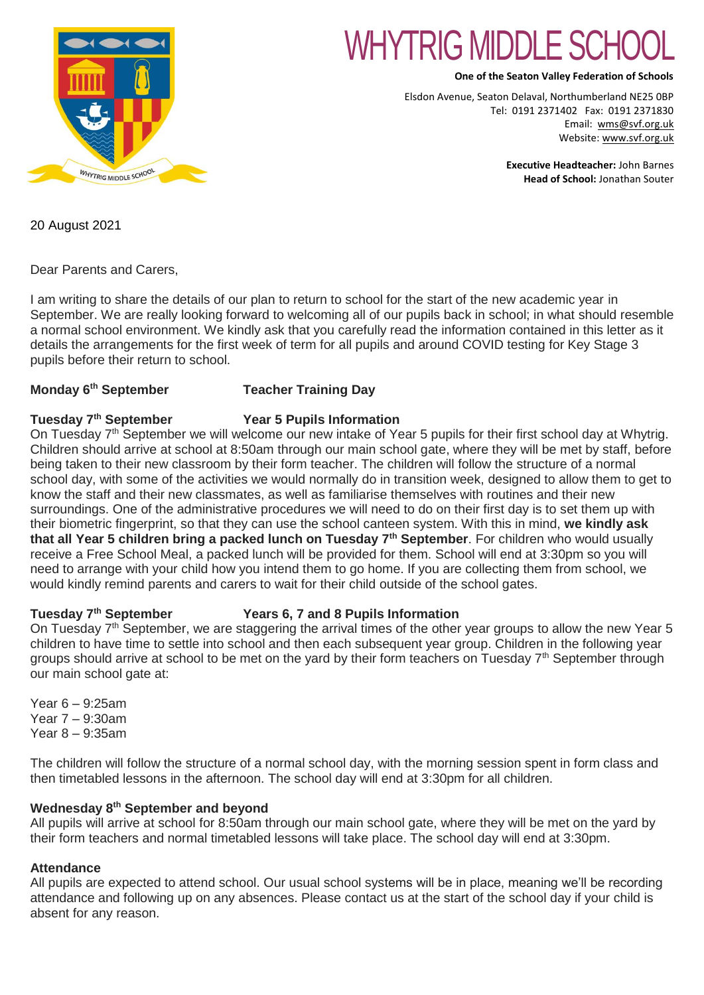

# WHYTRIG MIDDLE S

**One of the Seaton Valley Federation of Schools**

Elsdon Avenue, Seaton Delaval, Northumberland NE25 0BP Tel: 0191 2371402 Fax: 0191 2371830 Email: [wms@svf.org.uk](mailto:wms@svf.org.uk) Website: [www.svf.org.uk](http://www.svf.org.uk/)

> **Executive Headteacher:** John Barnes **Head of School:** Jonathan Souter

20 August 2021

Dear Parents and Carers,

I am writing to share the details of our plan to return to school for the start of the new academic year in September. We are really looking forward to welcoming all of our pupils back in school; in what should resemble a normal school environment. We kindly ask that you carefully read the information contained in this letter as it details the arrangements for the first week of term for all pupils and around COVID testing for Key Stage 3 pupils before their return to school.

# **Monday 6**

# **Teacher Training Day**

# **Tuesday 7th September Year 5 Pupils Information**

On Tuesday 7<sup>th</sup> September we will welcome our new intake of Year 5 pupils for their first school day at Whytrig. Children should arrive at school at 8:50am through our main school gate, where they will be met by staff, before being taken to their new classroom by their form teacher. The children will follow the structure of a normal school day, with some of the activities we would normally do in transition week, designed to allow them to get to know the staff and their new classmates, as well as familiarise themselves with routines and their new surroundings. One of the administrative procedures we will need to do on their first day is to set them up with their biometric fingerprint, so that they can use the school canteen system. With this in mind, **we kindly ask that all Year 5 children bring a packed lunch on Tuesday 7th September**. For children who would usually receive a Free School Meal, a packed lunch will be provided for them. School will end at 3:30pm so you will need to arrange with your child how you intend them to go home. If you are collecting them from school, we would kindly remind parents and carers to wait for their child outside of the school gates.

# **Tuesday 7th September Years 6, 7 and 8 Pupils Information**

On Tuesday 7<sup>th</sup> September, we are staggering the arrival times of the other year groups to allow the new Year 5 children to have time to settle into school and then each subsequent year group. Children in the following year groups should arrive at school to be met on the yard by their form teachers on Tuesday 7<sup>th</sup> September through our main school gate at:

Year 6 – 9:25am Year 7 – 9:30am Year 8 – 9:35am

The children will follow the structure of a normal school day, with the morning session spent in form class and then timetabled lessons in the afternoon. The school day will end at 3:30pm for all children.

# **Wednesday 8th September and beyond**

All pupils will arrive at school for 8:50am through our main school gate, where they will be met on the vard by their form teachers and normal timetabled lessons will take place. The school day will end at 3:30pm.

# **Attendance**

All pupils are expected to attend school. Our usual school systems will be in place, meaning we'll be recording attendance and following up on any absences. Please contact us at the start of the school day if your child is absent for any reason.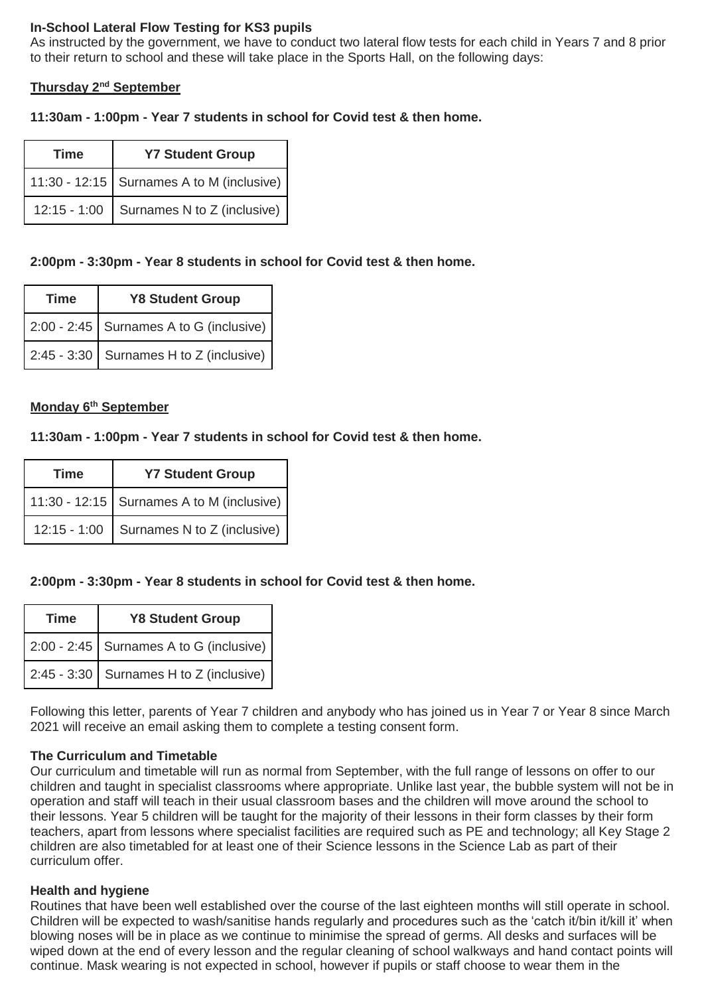# **In-School Lateral Flow Testing for KS3 pupils**

As instructed by the government, we have to conduct two lateral flow tests for each child in Years 7 and 8 prior to their return to school and these will take place in the Sports Hall, on the following days:

#### **Thursday 2nd September**

#### **11:30am - 1:00pm - Year 7 students in school for Covid test & then home.**

| <b>Time</b>    | <b>Y7 Student Group</b>                     |
|----------------|---------------------------------------------|
|                | 11:30 - 12:15   Surnames A to M (inclusive) |
| $12:15 - 1:00$ | Surnames N to Z (inclusive)                 |

## **2:00pm - 3:30pm - Year 8 students in school for Covid test & then home.**

| <b>Time</b> | <b>Y8 Student Group</b>                 |
|-------------|-----------------------------------------|
|             | 2:00 - 2:45 Surnames A to G (inclusive) |
|             | 2:45 - 3:30 Surnames H to Z (inclusive) |

#### **Monday 6th September**

#### **11:30am - 1:00pm - Year 7 students in school for Covid test & then home.**

| <b>Time</b> | <b>Y7 Student Group</b>                   |
|-------------|-------------------------------------------|
|             | 11:30 - 12:15 Surnames A to M (inclusive) |
|             | 12:15 - 1:00 Surnames N to Z (inclusive)  |

#### **2:00pm - 3:30pm - Year 8 students in school for Covid test & then home.**

| <b>Time</b> | <b>Y8 Student Group</b>                 |
|-------------|-----------------------------------------|
|             | 2:00 - 2:45 Surnames A to G (inclusive) |
|             | 2:45 - 3:30 Surnames H to Z (inclusive) |

Following this letter, parents of Year 7 children and anybody who has joined us in Year 7 or Year 8 since March 2021 will receive an email asking them to complete a testing consent form.

#### **The Curriculum and Timetable**

Our curriculum and timetable will run as normal from September, with the full range of lessons on offer to our children and taught in specialist classrooms where appropriate. Unlike last year, the bubble system will not be in operation and staff will teach in their usual classroom bases and the children will move around the school to their lessons. Year 5 children will be taught for the majority of their lessons in their form classes by their form teachers, apart from lessons where specialist facilities are required such as PE and technology; all Key Stage 2 children are also timetabled for at least one of their Science lessons in the Science Lab as part of their curriculum offer.

#### **Health and hygiene**

Routines that have been well established over the course of the last eighteen months will still operate in school. Children will be expected to wash/sanitise hands regularly and procedures such as the 'catch it/bin it/kill it' when blowing noses will be in place as we continue to minimise the spread of germs. All desks and surfaces will be wiped down at the end of every lesson and the regular cleaning of school walkways and hand contact points will continue. Mask wearing is not expected in school, however if pupils or staff choose to wear them in the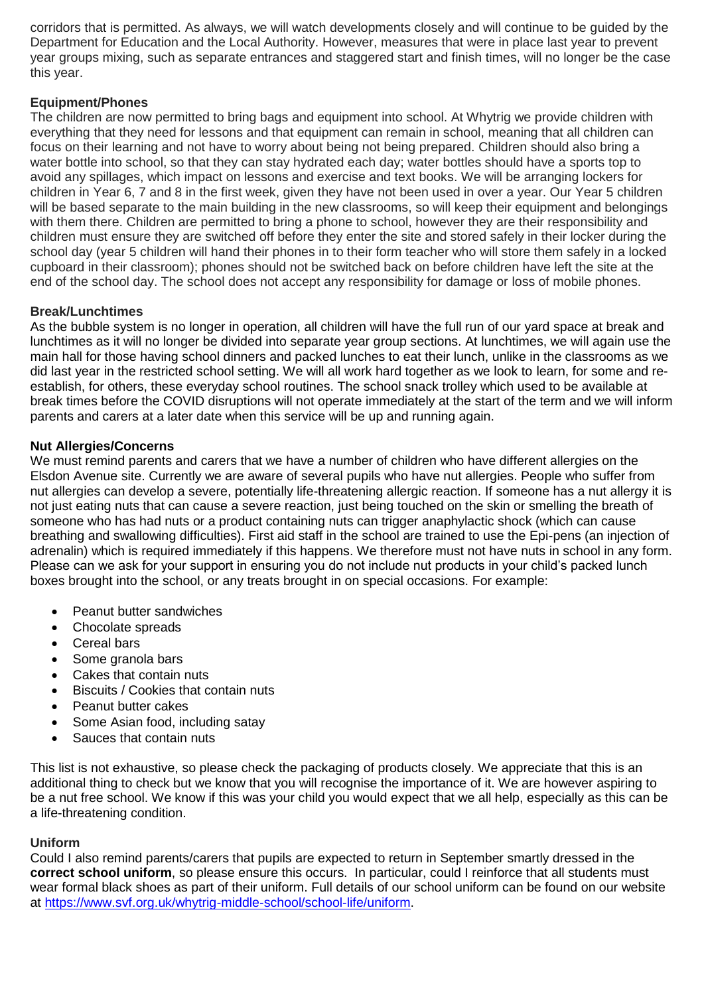corridors that is permitted. As always, we will watch developments closely and will continue to be guided by the Department for Education and the Local Authority. However, measures that were in place last year to prevent year groups mixing, such as separate entrances and staggered start and finish times, will no longer be the case this year.

# **Equipment/Phones**

The children are now permitted to bring bags and equipment into school. At Whytrig we provide children with everything that they need for lessons and that equipment can remain in school, meaning that all children can focus on their learning and not have to worry about being not being prepared. Children should also bring a water bottle into school, so that they can stay hydrated each day; water bottles should have a sports top to avoid any spillages, which impact on lessons and exercise and text books. We will be arranging lockers for children in Year 6, 7 and 8 in the first week, given they have not been used in over a year. Our Year 5 children will be based separate to the main building in the new classrooms, so will keep their equipment and belongings with them there. Children are permitted to bring a phone to school, however they are their responsibility and children must ensure they are switched off before they enter the site and stored safely in their locker during the school day (year 5 children will hand their phones in to their form teacher who will store them safely in a locked cupboard in their classroom); phones should not be switched back on before children have left the site at the end of the school day. The school does not accept any responsibility for damage or loss of mobile phones.

## **Break/Lunchtimes**

As the bubble system is no longer in operation, all children will have the full run of our yard space at break and lunchtimes as it will no longer be divided into separate year group sections. At lunchtimes, we will again use the main hall for those having school dinners and packed lunches to eat their lunch, unlike in the classrooms as we did last year in the restricted school setting. We will all work hard together as we look to learn, for some and reestablish, for others, these everyday school routines. The school snack trolley which used to be available at break times before the COVID disruptions will not operate immediately at the start of the term and we will inform parents and carers at a later date when this service will be up and running again.

#### **Nut Allergies/Concerns**

We must remind parents and carers that we have a number of children who have different allergies on the Elsdon Avenue site. Currently we are aware of several pupils who have nut allergies. People who suffer from nut allergies can develop a severe, potentially life-threatening allergic reaction. If someone has a nut allergy it is not just eating nuts that can cause a severe reaction, just being touched on the skin or smelling the breath of someone who has had nuts or a product containing nuts can trigger anaphylactic shock (which can cause breathing and swallowing difficulties). First aid staff in the school are trained to use the Epi-pens (an injection of adrenalin) which is required immediately if this happens. We therefore must not have nuts in school in any form. Please can we ask for your support in ensuring you do not include nut products in your child's packed lunch boxes brought into the school, or any treats brought in on special occasions. For example:

- Peanut butter sandwiches
- Chocolate spreads
- Cereal bars
- Some granola bars
- Cakes that contain nuts
- Biscuits / Cookies that contain nuts
- Peanut butter cakes
- Some Asian food, including satay
- Sauces that contain nuts

This list is not exhaustive, so please check the packaging of products closely. We appreciate that this is an additional thing to check but we know that you will recognise the importance of it. We are however aspiring to be a nut free school. We know if this was your child you would expect that we all help, especially as this can be a life-threatening condition.

#### **Uniform**

Could I also remind parents/carers that pupils are expected to return in September smartly dressed in the **correct school uniform**, so please ensure this occurs. In particular, could I reinforce that all students must wear formal black shoes as part of their uniform. Full details of our school uniform can be found on our website at [https://www.svf.org.uk/whytrig-middle-school/school-life/uniform.](https://www.svf.org.uk/whytrig-middle-school/school-life/uniform)